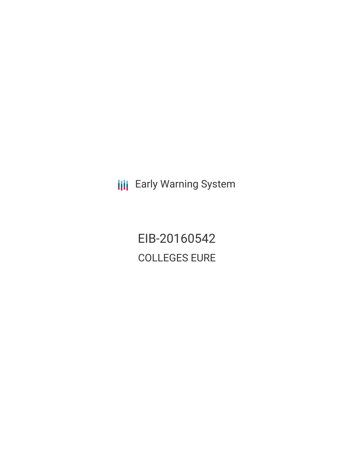**III** Early Warning System

EIB-20160542 COLLEGES EURE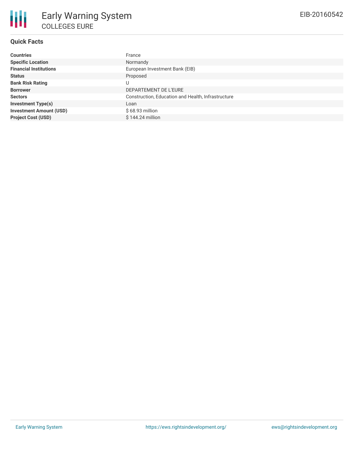## **Quick Facts**

| <b>Countries</b>               | France                                             |
|--------------------------------|----------------------------------------------------|
| <b>Specific Location</b>       | Normandy                                           |
| <b>Financial Institutions</b>  | European Investment Bank (EIB)                     |
| <b>Status</b>                  | Proposed                                           |
| <b>Bank Risk Rating</b>        |                                                    |
| <b>Borrower</b>                | DEPARTEMENT DE L'EURE                              |
| <b>Sectors</b>                 | Construction, Education and Health, Infrastructure |
| <b>Investment Type(s)</b>      | Loan                                               |
| <b>Investment Amount (USD)</b> | $$68.93$ million                                   |
| <b>Project Cost (USD)</b>      | $$144.24$ million                                  |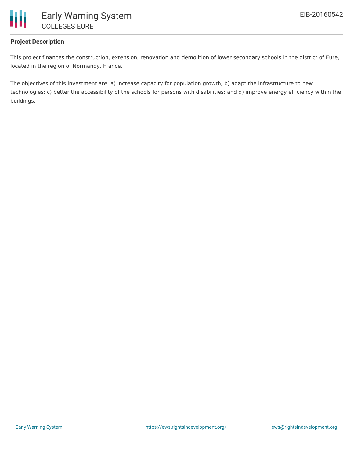

# **Project Description**

This project finances the construction, extension, renovation and demolition of lower secondary schools in the district of Eure, located in the region of Normandy, France.

The objectives of this investment are: a) increase capacity for population growth; b) adapt the infrastructure to new technologies; c) better the accessibility of the schools for persons with disabilities; and d) improve energy efficiency within the buildings.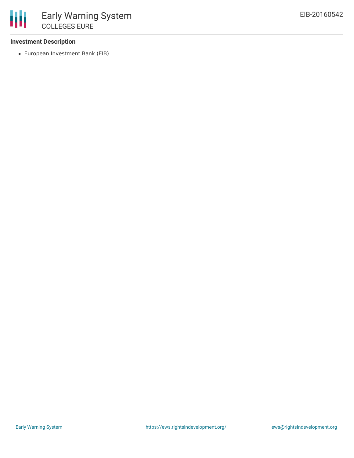## **Investment Description**

European Investment Bank (EIB)